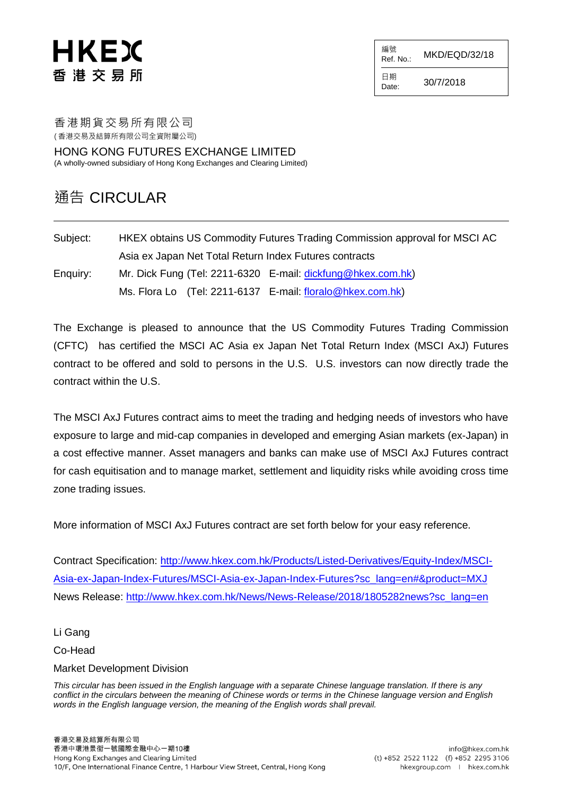# HKEX 香 港 交 易 所

編號  $R$ ef. No.: MKD/EQD/32/18

日期  $D_{\text{date}:}$  30/7/2018

香港期貨交易所有限公司

( 香港交易及結算所有限公司全資附屬公司)

HONG KONG FUTURES EXCHANGE LIMITED (A wholly-owned subsidiary of Hong Kong Exchanges and Clearing Limited)

### 通告 CIRCULAR

Subject: HKEX obtains US Commodity Futures Trading Commission approval for MSCI AC Asia ex Japan Net Total Return Index Futures contracts Enquiry: Mr. Dick Fung (Tel: 2211-6320 E-mail: [dickfung@hkex.com.hk\)](mailto:dickfung@hkex.com.hk) Ms. Flora Lo (Tel: 2211-6137 E-mail: [floralo@hkex.com.hk\)](mailto:floralo@hkex.com.hk)

The Exchange is pleased to announce that the US Commodity Futures Trading Commission (CFTC) has certified the MSCI AC Asia ex Japan Net Total Return Index (MSCI AxJ) Futures contract to be offered and sold to persons in the U.S. U.S. investors can now directly trade the contract within the U.S.

The MSCI AxJ Futures contract aims to meet the trading and hedging needs of investors who have exposure to large and mid-cap companies in developed and emerging Asian markets (ex-Japan) in a cost effective manner. Asset managers and banks can make use of MSCI AxJ Futures contract for cash equitisation and to manage market, settlement and liquidity risks while avoiding cross time zone trading issues.

More information of MSCI AxJ Futures contract are set forth below for your easy reference.

Contract Specification: [http://www.hkex.com.hk/Products/Listed-Derivatives/Equity-Index/MSCI-](http://www.hkex.com.hk/Products/Listed-Derivatives/Equity-Index/MSCI-Asia-ex-Japan-Index-Futures/MSCI-Asia-ex-Japan-Index-Futures?sc_lang=en#&product=MXJ)[Asia-ex-Japan-Index-Futures/MSCI-Asia-ex-Japan-Index-Futures?sc\\_lang=en#&product=MXJ](http://www.hkex.com.hk/Products/Listed-Derivatives/Equity-Index/MSCI-Asia-ex-Japan-Index-Futures/MSCI-Asia-ex-Japan-Index-Futures?sc_lang=en#&product=MXJ) News Release: [http://www.hkex.com.hk/News/News-Release/2018/1805282news?sc\\_lang=en](http://www.hkex.com.hk/News/News-Release/2018/1805282news?sc_lang=en)

Li Gang

Co-Head

#### Market Development Division

*This circular has been issued in the English language with a separate Chinese language translation. If there is any conflict in the circulars between the meaning of Chinese words or terms in the Chinese language version and English words in the English language version, the meaning of the English words shall prevail.*